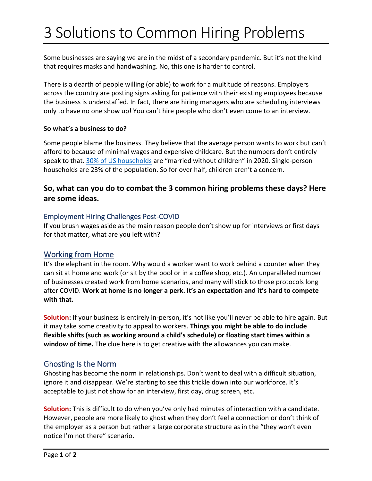# 3 Solutions to Common Hiring Problems

Some businesses are saying we are in the midst of a secondary pandemic. But it's not the kind that requires masks and handwashing. No, this one is harder to control.

There is a dearth of people willing (or able) to work for a multitude of reasons. Employers across the country are posting signs asking for patience with their existing employees because the business is understaffed. In fact, there are hiring managers who are scheduling interviews only to have no one show up! You can't hire people who don't even come to an interview.

#### **So what's a business to do?**

Some people blame the business. They believe that the average person wants to work but can't afford to because of minimal wages and expensive childcare. But the numbers don't entirely speak to that. [30% of US households](https://www.prb.org/u-s-household-composition-shifts-as-the-population-grows-older-more-young-adults-live-with-parents/) are "married without children" in 2020. Single-person households are 23% of the population. So for over half, children aren't a concern.

## **So, what can you do to combat the 3 common hiring problems these days? Here are some ideas.**

#### Employment Hiring Challenges Post-COVID

If you brush wages aside as the main reason people don't show up for interviews or first days for that matter, what are you left with?

## Working from Home

It's the elephant in the room. Why would a worker want to work behind a counter when they can sit at home and work (or sit by the pool or in a coffee shop, etc.). An unparalleled number of businesses created work from home scenarios, and many will stick to those protocols long after COVID. **Work at home is no longer a perk. It's an expectation and it's hard to compete with that.**

Solution: If your business is entirely in-person, it's not like you'll never be able to hire again. But it may take some creativity to appeal to workers. **Things you might be able to do include flexible shifts (such as working around a child's schedule) or floating start times within a window of time.** The clue here is to get creative with the allowances you can make.

## Ghosting Is the Norm

Ghosting has become the norm in relationships. Don't want to deal with a difficult situation, ignore it and disappear. We're starting to see this trickle down into our workforce. It's acceptable to just not show for an interview, first day, drug screen, etc.

**Solution:** This is difficult to do when you've only had minutes of interaction with a candidate. However, people are more likely to ghost when they don't feel a connection or don't think of the employer as a person but rather a large corporate structure as in the "they won't even notice I'm not there" scenario.